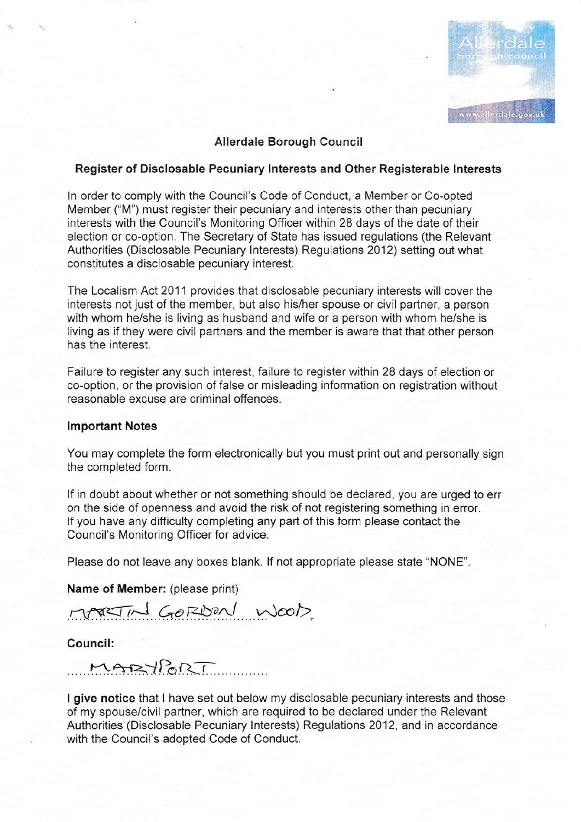

# Allerdale Borough Council

#### Register of Disclosable Pecuniary lnterests and Other Registerable lnterests

ln order to comply with the Council's Code of Conduct, a Member or Co-opted Member ("M") must register their pecuniary and interests other than pecuniary interests with the Council's Monitoring Officer within 28 days of the date of their election or co-option. The Secretary of State has issued regulations (the Relevant Authorities (Disclosable Pecuniary lnterests) Regulations 2012) setting out what constitutes a disclosable pecuniary interest.

The Localism Act 2011 provides that disclosable pecuniary interests will cover the interests not just of the member, but also his/her spouse or civil partner, a person with whom he/she is living as husband and wife or a person with whom he/she is living as if they were civil partners and the member is aware that that other person has the interest.

Failure to register any such interest, failure to register within 28 days of election or co-option, or the provision of false or misleading information on registration without reasonable excuse are criminal offences.

#### lmportant Notes

You may complete the form electronically but you must print out and personally sign the completed form.

If in doubt about whether or not something should be declared, you are urged to err on the side of openness and avoid the risk of not registering something in error. lf you have any difficulty completing any part of this form please contact the Council's Monitoring Officer for advice.

Please do not leave any boxes blank. lf not appropriate please state "NONE".

Name of Member: (please print)

 $H$  $G$ <sub>O</sub>RDON WOOD

Council:

MARYPORT

I give notice that I have set out below my disclosable pecuniary interests and those of my spouse/civil partner, which are required to be declared under the Relevant Authorities (Disclosable Pecuniary Interests) Regulations 2Q12, and in accordance with the Council's adopted Code of Conduct.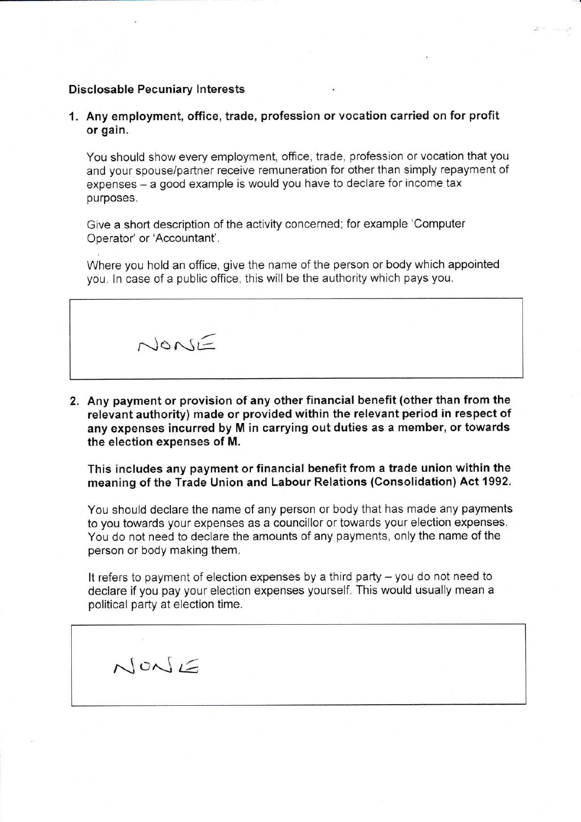# Disclosable Pecuniary Interests

 $N$  on  $\leq$ 

1. Any employment, office, trade, profession or vocation carried on for profit or gain.

You should show every employment, office, trade, profession or vocation that you and your spouse/partner receive remuneration for other than simply repayment of expenses - a good example is would you have to declare for income tax purposes.

Give a short description of the activity concerned: for example 'Computer Operator' or'Accountant'.

Where you hold an office, give the name of the person or body which appointed you. In case of a public office, this will be the authority which pays you.

 $N$ 

2. Any payment or provision of any other financial benefit (other than from the relevant authority) made or provided within the relevant period in respect of any expenses incurred by M in carrying out duties as a member, or towards the election expenses of M.

This includes any payment or financial benefit from a trade union within the meaning of the Trade Union and Labour Relations (Consolidation) Act 1992.

You should declare the name of any person or body that has made any payments to you towards your expenses as a councillor or towards your election expenses. You do not need to declare the amounts of any payments, only the name of the person or body making them.

It refers to payment of election expenses by a third party  $-$  you do not need to declare if you pay your election expenses yourself. This would usually mean a political party at election time.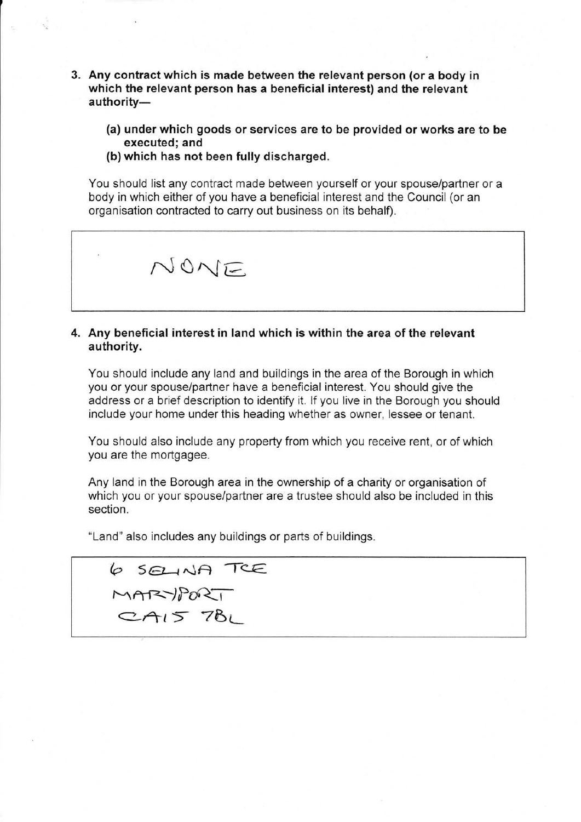- 3. Any contract which is made between the relevant person (or a body in which the relevant person has a beneficial interest) and the relevant authority-
	- (a) under which goods or services are to be provided or works are to be executed; and
	- (b) which has not been fully discharged.

You should list any contract made between yourself or your spouselpartner or a body in which either of you have a beneficial interest and the Council (or an organisation contracted to carry out business on its behalf)



# 4. Any beneficial interest in land which is within the area of the relevant authority.

You should include any land and buildings in the area of the Borough in which you or your spouse/partner have a beneficial interest. You should give the address or a brief description to identify it. lf you live in the Borough you should include your home under this heading whether as owner, lessee or tenant.

You should also include any property from which you receive rent, or of which you are the mortgagee.

Any land in the Borough area in the ownership of a charity or organisation of which you or your spouse/partner are a trustee should also be included in this section.

"Land" also includes any buildings or parts of buildings

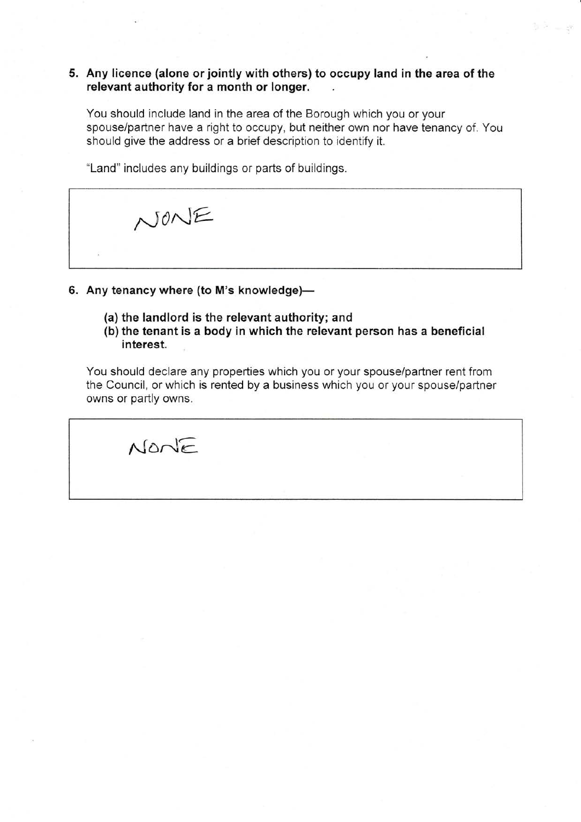# 5. Any licence (alone or jointly with others) to occupy land in the area of the relevant authority for a month or longer.

You should include land in the area of the Borough which you or your spouse/partner have a right to occupy, but neither own nor have tenancy of. You should give the address or a brief description to identify it.

 $\mathbb{R}^2 = \mathbb{R}^2$ 

"Land" includes any buildings or parts of buildings.

NONE

- 6. Any tenancy where (to M's knowledge)-
	- (a) the landlord is the relevant authority; and
	- (b) the tenant is a body in which the relevant person has a beneficial interest.

You should declare any properties which you or your spouse/partner rent from the Council, or which is rented by a business which you or your spouse/partner owns or partly owns.

 $N$ on $E$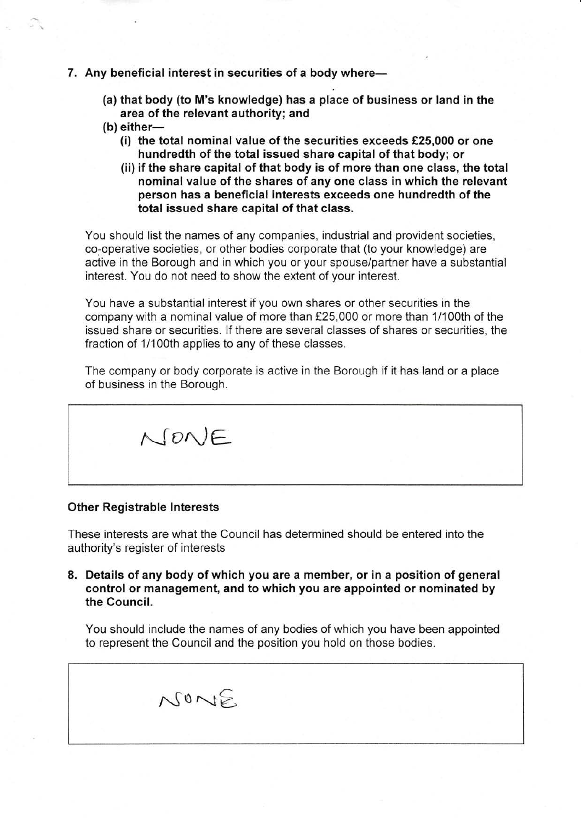- 7. Any beneficial interest in securities of a body where-
	- (a) that body (to M's knowledge) has a place of business or land in the area of the relevant authority; and
	- $(b)$  either-
		- (i) the total nominal value of the securities exceeds  $£25,000$  or one hundredth of the total issued share capital of that body; or
		- (ii) if the share capital of that body is of more than one class, the total nominal value of the shares of any one class in which the relevant person has a beneficial interests exceeds one hundredth of the total issued share capital of that class.

You should list the names of any companies, industrial and provident societies, co-operative societies, or other bodies corporate that (to your knowledge) are active in the Borough and in which you or your spouse/partner have a substantial interest. You do not need to show the extent of your interest.

You have a substantial interest if you own shares or other securities in the company with a nominal value of more than f25,000 or more than 11100th of the issued share or securities. lf there are several classes of shares or securities, the fraction of 1/100th applies to any of these classes.

The company or body corporate is active in the Borough if it has land or a place of business in the Borough.



#### **Other Registrable Interests**

These interests are what the Council has determined should be entered into the authority's register of interests

8. Details of any body of which you are a member, or in a position of general control or management, and to which you are appointed or nominated by the Gouncil.

You should include the names of any bodies of which you have been appointed to represent the Council and the position you hold on those bodies.

 $N0NE$